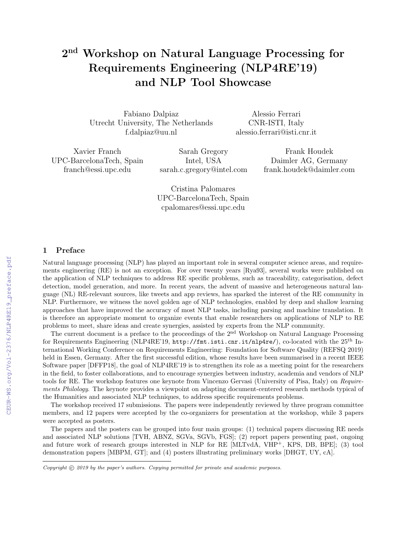# $2^{\rm nd}$  Workshop on Natural Language Processing for Requirements Engineering (NLP4RE'19) and NLP Tool Showcase

Fabiano Dalpiaz Utrecht University, The Netherlands f.dalpiaz@uu.nl

Alessio Ferrari CNR-ISTI, Italy alessio.ferrari@isti.cnr.it

Xavier Franch UPC-BarcelonaTech, Spain franch@essi.upc.edu

Sarah Gregory Intel, USA sarah.c.gregory@intel.com

Frank Houdek Daimler AG, Germany frank.houdek@daimler.com

Cristina Palomares UPC-BarcelonaTech, Spain cpalomares@essi.upc.edu

## 1 Preface

Natural language processing (NLP) has played an important role in several computer science areas, and requirements engineering (RE) is not an exception. For over twenty years [Rya93], several works were published on the application of NLP techniques to address RE specific problems, such as traceability, categorisation, defect detection, model generation, and more. In recent years, the advent of massive and heterogeneous natural language (NL) RE-relevant sources, like tweets and app reviews, has sparked the interest of the RE community in NLP. Furthermore, we witness the novel golden age of NLP technologies, enabled by deep and shallow learning approaches that have improved the accuracy of most NLP tasks, including parsing and machine translation. It is therefore an appropriate moment to organize events that enable researchers on applications of NLP to RE problems to meet, share ideas and create synergies, assisted by experts from the NLP community.

The current document is a preface to the proceedings of the 2nd Workshop on Natural Language Processing for Requirements Engineering (NLP4RE'19, http://fmt.isti.cnr.it/nlp4re/), co-located with the 25th International Working Conference on Requirements Engineering: Foundation for Software Quality (REFSQ 2019) held in Essen, Germany. After the first successful edition, whose results have been summarised in a recent IEEE Software paper [DFFP18], the goal of NLP4RE'19 is to strengthen its role as a meeting point for the researchers in the field, to foster collaborations, and to encourage synergies between industry, academia and vendors of NLP tools for RE. The workshop features one keynote from Vincenzo Gervasi (University of Pisa, Italy) on Requirements Philology. The keynote provides a viewpoint on adapting document-centered research methods typical of the Humanities and associated NLP techniques, to address specific requirements problems.

The workshop received 17 submissions. The papers were independently reviewed by three program committee members, and 12 papers were accepted by the co-organizers for presentation at the workshop, while 3 papers were accepted as posters.

The papers and the posters can be grouped into four main groups: (1) technical papers discussing RE needs and associated NLP solutions [TVH, ABNZ, SGVa, SGVb, FGS]; (2) report papers presenting past, ongoing and future work of research groups interested in NLP for RE [MLTvdA, VHP<sup>+</sup>, KPS, DB, BPE]; (3) tool demonstration papers [MBPM, GT]; and (4) posters illustrating preliminary works [DHGT, UY, cA].

Copyright  $\odot$  2019 by the paper's authors. Copying permitted for private and academic purposes.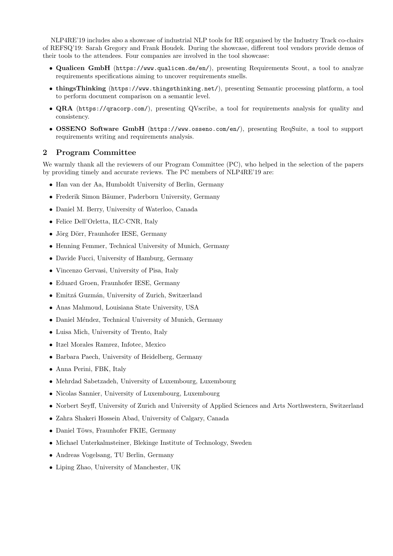NLP4RE'19 includes also a showcase of industrial NLP tools for RE organised by the Industry Track co-chairs of REFSQ'19: Sarah Gregory and Frank Houdek. During the showcase, different tool vendors provide demos of their tools to the attendees. Four companies are involved in the tool showcase:

- Qualicen GmbH (https://www.qualicen.de/en/), presenting Requirements Scout, a tool to analyze requirements specifications aiming to uncover requirements smells.
- thingsThinking (https://www.thingsthinking.net/), presenting Semantic processing platform, a tool to perform document comparison on a semantic level.
- QRA (https://qracorp.com/), presenting QVscribe, a tool for requirements analysis for quality and consistency.
- OSSENO Software GmbH (https://www.osseno.com/en/), presenting ReqSuite, a tool to support requirements writing and requirements analysis.

## 2 Program Committee

We warmly thank all the reviewers of our Program Committee (PC), who helped in the selection of the papers by providing timely and accurate reviews. The PC members of NLP4RE'19 are:

- Han van der Aa, Humboldt University of Berlin, Germany
- Frederik Simon Bäumer, Paderborn University, Germany
- Daniel M. Berry, University of Waterloo, Canada
- Felice Dell'Orletta, ILC-CNR, Italy
- Jörg Dörr, Fraunhofer IESE, Germany
- Henning Femmer, Technical University of Munich, Germany
- Davide Fucci, University of Hamburg, Germany
- Vincenzo Gervasi, University of Pisa, Italy
- Eduard Groen, Fraunhofer IESE, Germany
- $\bullet\,$ Emitzá Guzmán, University of Zurich, Switzerland
- Anas Mahmoud, Louisiana State University, USA
- Daniel Méndez, Technical University of Munich, Germany
- Luisa Mich, University of Trento, Italy
- Itzel Morales Ramrez, Infotec, Mexico
- Barbara Paech, University of Heidelberg, Germany
- Anna Perini, FBK, Italy
- Mehrdad Sabetzadeh, University of Luxembourg, Luxembourg
- Nicolas Sannier, University of Luxembourg, Luxembourg
- Norbert Seyff, University of Zurich and University of Applied Sciences and Arts Northwestern, Switzerland
- Zahra Shakeri Hossein Abad, University of Calgary, Canada
- Daniel Töws, Fraunhofer FKIE, Germany
- Michael Unterkalmsteiner, Blekinge Institute of Technology, Sweden
- Andreas Vogelsang, TU Berlin, Germany
- Liping Zhao, University of Manchester, UK